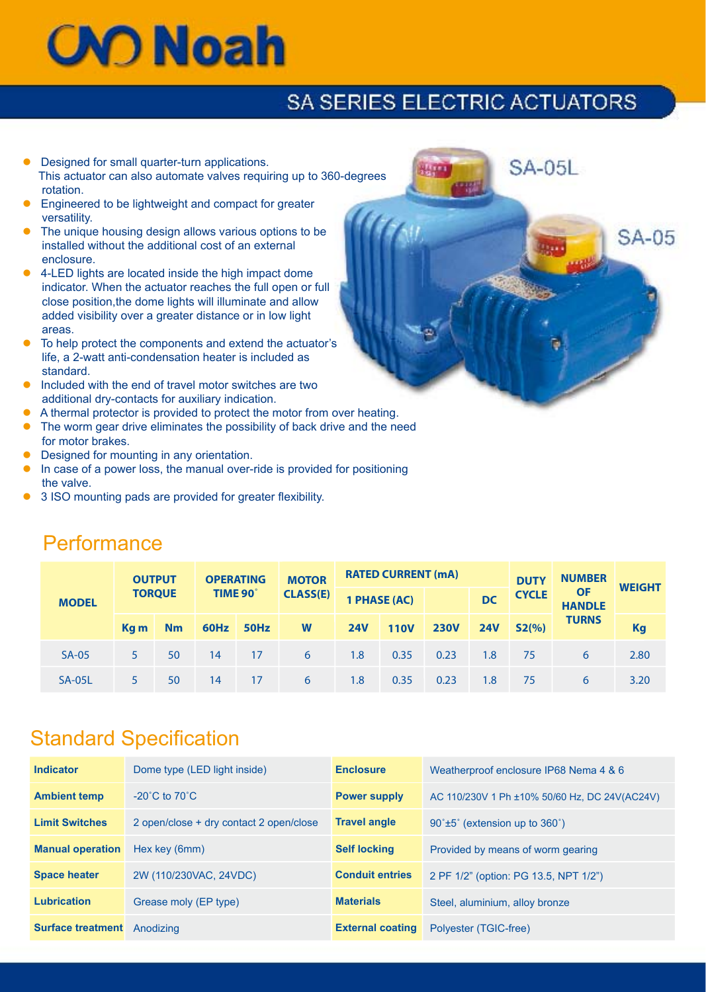# **CVO Noah**

## SA SERIES ELECTRIC ACTUATORS

**SA-05L** 

**SA-05** 

- Designed for small quarter-turn applications. This actuator can also automate valves requiring up to 360-degrees rotation.
- **Engineered to be lightweight and compact for greater** versatility.
- **The unique housing design allows various options to be**  installed without the additional cost of an external enclosure.
- 4-LED lights are located inside the high impact dome indicator. When the actuator reaches the full open or full close position,the dome lights will illuminate and allow added visibility over a greater distance or in low light areas.
- To help protect the components and extend the actuator's life, a 2-watt anti-condensation heater is included as standard.
- l Included with the end of travel motor switches are two additional dry-contacts for auxiliary indication.
- A thermal protector is provided to protect the motor from over heating.
- The worm gear drive eliminates the possibility of back drive and the need for motor brakes.
- Designed for mounting in any orientation.
- In case of a power loss, the manual over-ride is provided for positioning the valve.
- 3 ISO mounting pads are provided for greater flexibility.

| <b>MODEL</b>  | <b>OUTPUT</b><br><b>TORQUE</b> |    | <b>OPERATING</b><br>TIME 90° |      | <b>MOTOR</b><br><b>CLASS(E)</b> | <b>RATED CURRENT (mA)</b> |             |             |            | <b>DUTY</b>  | <b>NUMBER</b>              | <b>WEIGHT</b> |
|---------------|--------------------------------|----|------------------------------|------|---------------------------------|---------------------------|-------------|-------------|------------|--------------|----------------------------|---------------|
|               |                                |    |                              |      |                                 | 1 PHASE (AC)              |             |             | <b>DC</b>  | <b>CYCLE</b> | <b>OF</b><br><b>HANDLE</b> |               |
|               | Kg m                           | Nm | 60Hz                         | 50Hz | W                               | <b>24V</b>                | <b>110V</b> | <b>230V</b> | <b>24V</b> | S2(%)        | <b>TURNS</b>               | <b>Kg</b>     |
| $SA-05$       | 5                              | 50 | 14                           | 17   | 6                               | 1.8                       | 0.35        | 0.23        | 1.8        | 75           | 6                          | 2.80          |
| <b>SA-05L</b> |                                | 50 | 14                           | 17   | 6                               | 1.8                       | 0.35        | 0.23        | 1.8        | 75           | 6                          | 3.20          |

#### **Performance**

#### Standard Specification

| <b>Indicator</b>         | Dome type (LED light inside)            | <b>Enclosure</b>        | Weatherproof enclosure IP68 Nema 4 & 6        |
|--------------------------|-----------------------------------------|-------------------------|-----------------------------------------------|
| <b>Ambient temp</b>      | $-20^{\circ}$ C to $70^{\circ}$ C       | <b>Power supply</b>     | AC 110/230V 1 Ph ±10% 50/60 Hz, DC 24V(AC24V) |
| <b>Limit Switches</b>    | 2 open/close + dry contact 2 open/close | <b>Travel angle</b>     | $90^{\circ}$ ±5° (extension up to 360°)       |
| <b>Manual operation</b>  | Hex key (6mm)                           | <b>Self locking</b>     | Provided by means of worm gearing             |
| <b>Space heater</b>      | 2W (110/230VAC, 24VDC)                  | <b>Conduit entries</b>  | 2 PF 1/2" (option: PG 13.5, NPT 1/2")         |
| <b>Lubrication</b>       | Grease moly (EP type)                   | <b>Materials</b>        | Steel, aluminium, alloy bronze                |
| <b>Surface treatment</b> | Anodizing                               | <b>External coating</b> | Polyester (TGIC-free)                         |